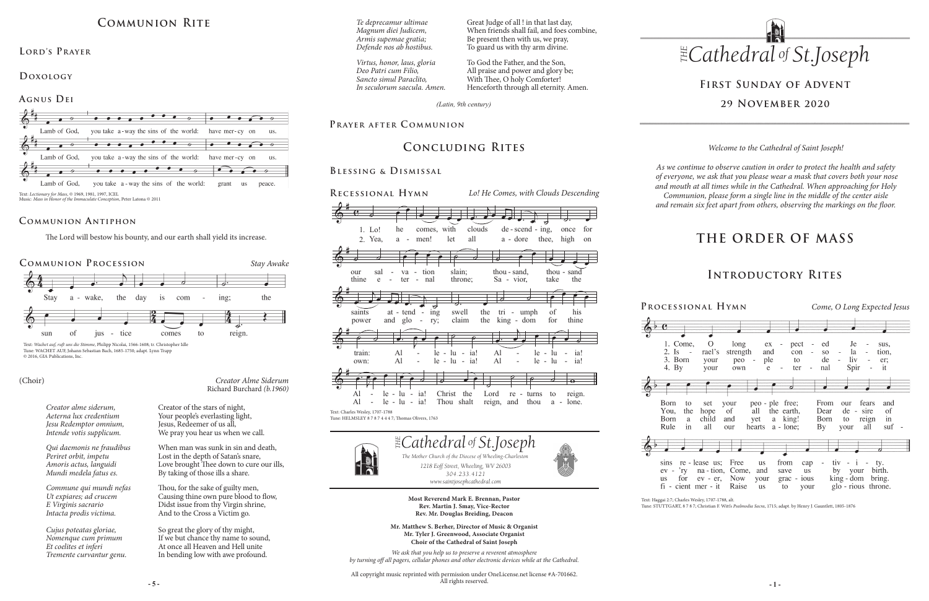# **THE ORDER OF MASS**

**Most Reverend Mark E. Brennan, Pastor Rev. Martin J. Smay, Vice-Rector Rev. Mr. Douglas Breiding, Deacon**

**- 5 - - 1 -** All copyright music reprinted with permission under OneLicense.net license #A-701662. All rights reserved.



**Mr. Matthew S. Berher, Director of Music & Organist Mr. Tyler J. Greenwood, Associate Organist Choir of the Cathedral of Saint Joseph**

*We ask that you help us to preserve a reverent atmosphere by turning off all pagers, cellular phones and other electronic devices while at the Cathedral.*

## **Introductory Rites**

*Welcome to the Cathedral of Saint Joseph!*

*As we continue to observe caution in order to protect the health and safety of everyone, we ask that you please wear a mask that covers both your nose and mouth at all times while in the Cathedral. When approaching for Holy Communion, please form a single line in the middle of the center aisle and remain six feet apart from others, observing the markings on the floor.* 

# **First Sunday of Advent 29 November 2020**

# **Communion Rite**

## **Agnus Dei**



## **Lord's Prayer**

## **Doxology**

Text: *Lectionary for Mass*, © 1969, 1981, 1997, ICEL Music: *Mass in Honor of the Immaculate Conception*, Peter Latona © 2011



## **Communion Antiphon**

*Creator Alme Siderum* Richard Burchard *(b.1960)*

### (Choir)

*Creator alme siderum, Aeterna lux credentium Jesu Redemptor omnium, Intende votis supplicum.* 

*Qui daemonis ne fraudibus Periret orbit, impetu Amoris actus, languidi Mundi medela fatus es.* 

*Commune qui mundi nefas Ut expiares; ad crucem E Virginis sacrario Intacta prodis victima.*

*Cujus poteatas gloriae, Nomenque cum primum Et coelites et inferi Tremente curvantur genu.*  Creator of the stars of night, Your people's everlasting light, Jesus, Redeemer of us all, We pray you hear us when we call.

When man was sunk in sin and death, Lost in the depth of Satan's snare, Love brought Thee down to cure our ills, By taking of those ills a share.

Thou, for the sake of guilty men, Causing thine own pure blood to flow, Didst issue from thy Virgin shrine, And to the Cross a Victim go.

So great the glory of thy might, If we but chance thy name to sound, At once all Heaven and Hell unite In bending low with awe profound.

The Lord will bestow his bounty, and our earth shall yield its increase.

Text: *Wachet auf, ruft uns die Stimme*, Philipp Nicolai, 1566-1608; tr. Christopher Idle Tune: WACHET AUF, Johann Sebastian Bach, 1685-1750; adapt. Lynn Trapp © 2016, GIA Publications, Inc.

# **Concluding Rites**

*(Latin, 9th century)*

## PRAYER AFTER COMMUNION

*Te deprecamur ultimae Magnum diei Judicem, Armis supemae gratia; Defende nos ab hostibus.*

*Virtus, honor, laus, gloria Deo Patri cum Filio, Sancto simul Paraclito, In seculorum saecula. Amen.*

Great Judge of all ! in that last day, When friends shall fail, and foes combine, Be present then with us, we pray, To guard us with thy arm divine.

To God the Father, and the Son, All praise and power and glory be; With Thee, O holy Comforter! Henceforth through all eternity. Amen.







RECESSIONAL HYMN BLESSING & DISMISSAL Lo! He Comes, with Clouds Descending<br>  $\begin{array}{|c|c|c|c|c|}\n\hline\n\multicolumn{1}{|c|c|c|c|}\n\hline\n\multicolumn{1}{|c|c|c|c|c} \hline\n\multicolumn{1}{|c|c|c|c} \hline\n\multicolumn{1}{|c|c|c|c} \hline\n\multicolumn{1}{|c|c|c} \hline\n\multicolumn{1}{|c|c|c} \hline\n\multicolumn{1}{|c|c|c} \hline\n\multicolumn{1}{|c|c|c} \hline\n\multicolumn{$ Text: Charles Wesley, 1707-1788 Tune: HELMSLEY 8 7 8 7 4 4 4 7; Thomas Olivers, 1763 ( Ç Al le lu ia! - -- - Al deeple lu ia! - -- - deep ly  $\frac{2}{9}$  $\overline{e}$  $1.$  Lo!  $2.$  Yea, 3. Those he a dear <del>- 5</del> he comes, with clouds de-<br>a - men! let all a extended to the context with crowds de-<br>a - men! let all a to  $let$ kens  $\overline{\mathbf{G}}$ **PEEP**  $t$  all  $\rightarrow$  $\begin{array}{c} \hline \text{d} & \text{e} \\ \text{d} & \text{e} \\ \text{e} & \text{seend} \end{array}$  =  $\begin{array}{c} \hline \text{e} \\ \text{f} \\ \text{g} \end{array}$  $\overline{a}$  - dore his  $\Box$  $\rightarrow$ Yea, a - men! let all a - dore thee, high on sion  $\overline{\partial \cdot \quad \bullet}$ once for  $\overline{\phantom{a}}$ on his Yea, a - - men! let - - all a dore thee, high on  $\oint$ our sa our sal<br>thine e  $\overline{\phantom{a}}$  $e \overline{+}$ fala da fa<br>Marejeo  $e$  -  $ter$  -  $nal$ ma va - uon<br>ter - nal jes ty<br>slain; s<br>
on slain;<br>
throne;  $\overline{ }$ the sand, thou - sand, thou thine e - ter - nal throne; Sa - vior, take the  $\overline{+}$ who thou - sand<br>take the  $\mapsto$  $\overbrace{ }$  the  $\overline{a}$  $\overline{\phantom{a}}$ thing is a state of the state through the state through the state through the state of the state through the s  $\overline{\mathbf{e}}$ saints<br>power at -<br>  $\begin{array}{c} \n\text{at} \\ \n\hline \n\end{array}$  $\overline{\phantom{a}}$  $\rightarrow$ at and end -<br>;lo glo - ry  $\cdot$ ing  $\rightarrow$  $\frac{1}{2}$  claim th  $^{\circ}$  p the and saints at - tend - ing swell the tri - umph of his<br>power and glo - ry; claim the king - dom for thine  $\vdash$ j. a  $\overline{a}$  $\overline{\phantom{0}}$  $\int_{0}^{\pi}$  his  $\rightarrow$ to  $\overline{\phantom{0}}$  $\overline{\phantom{a}}$  $\overbrace{\hspace{2.5cm}}^{ \overbrace{\hspace{2.5cm}}^{ \overbrace{\hspace{2.5cm}}^{ \overline{\hspace{2.5cm}}}}}}$ power and glo ry; - - claim the king dom for thine  $\overline{\Omega}$  $\alpha$  own:  $\cdot$  1  $\begin{array}{c}\n1 \\
\text{Al} \\
\end{array}$  $\begin{array}{c} \hline \end{array}$  $\frac{1}{2}$  $\#$  $\begin{array}{ccc} 1 & 1 & 1 \\ - & 1 & 1 \\ - & 1 & 1 \end{array}$  $^\mathrm{+}$  $\frac{1}{\frac{1}{\frac{1}{\frac{1}{\sqrt{1}}}}}{\frac{1}{\sqrt{1+\frac{1}{\sqrt{1+\frac{1}{\sqrt{1+\frac{1}{\sqrt{1+\frac{1}{\sqrt{1+\frac{1}{\sqrt{1+\frac{1}{\sqrt{1+\frac{1}{\sqrt{1+\frac{1}{\sqrt{1+\frac{1}{\sqrt{1+\frac{1}{\sqrt{1+\frac{1}{\sqrt{1+\frac{1}{\sqrt{1+\frac{1}{\sqrt{1+\frac{1}{\sqrt{1+\frac{1}{\sqrt{1+\frac{1}{\sqrt{1+\frac{1}{\sqrt{1+\frac{1}{\sqrt{1+\frac{1}{\sqrt{1+\frac{1}{\sqrt{1+\frac{1$  $|u - ia|$ lu  $\Rightarrow$  $\begin{bmatrix} 41 & -1 \\ 41 & -1 \end{bmatrix}$  $\frac{1}{2}$  le Al  $\begin{bmatrix} 0 & 1 & 1 \end{bmatrix}$ le lu - ia<br>'  $\overline{\phantom{a}}$ ia!  $\sigma$  defined as  $\alpha_1$  -  $\alpha$  -  $\alpha$  -  $\alpha$ ! All sums the Lord  $\alpha$  - turns to reign XI - IC<br>xt: Charles Wesley, 1707-17<br>ne: HELMSLEY 8 7 8 7 4 4 Al le lu ia! Christ the Lord re - -- -  $\frac{1}{\sqrt{2}}$ he  $\frac{1}{2}$  $\overline{\phantom{a}}$  $\overline{\phantom{a}}$  $\frac{1}{2}$  $\overline{\phantom{a}}$ e, de - scend - $\overrightarrow{c}$  $\frac{1}{e^x}$  de - scend - ing,  $\overrightarrow{d}$ <u>gand</u>  $\overline{\phantom{a}}$  $\overrightarrow{ }$ - -  $\frac{2}{9}$  $\overline{\phantom{a}}$  $\begin{bmatrix} 1 & 1 \\ 1 & 1 \end{bmatrix}$  $\theta$ va va ma  $\begin{array}{ccc} \n\text{sal} & - & \text{va} & - & \text{tion} \\
\text{e} & - & \text{ter} & - & \text{nal} \n\end{array}$  $\frac{1}{\sqrt{2}}$  $\begin{array}{c} \circ \\ \circ \\ \circ \end{array}$ thou - sand tak the experimental throne; Sa violence the sa violence through  $\sim$  $\bigcirc$  $\frac{1}{\sinh s}$  $at - tend \overline{\phantom{0}}$  $\overline{\phantom{a}}$  $\begin{array}{c} \text{tend} \\ \text{glo} \\ \hline \end{array}$  -  $\begin{array}{c} \text{ing} \\ \text{ry;} \end{array}$  $\overline{\phantom{0}}$ him, swell the<br>claim the pierced, pierced, pierced, pierced, pierced, pierced, pierced, pierced, pierced, pierced, pierced, pierced, pi<br>Se programma de la programma de la programma de la programma de la programma de la programma de la programma<br>Se and the tri - um<br>the king - do  $\overline{1}$ him  $\begin{array}{|c|c|c|}\n\hline\n\hline\n\end{array}$  $f_{01}$  $\overline{\phantom{a}}$ hine  $\overline{\phantom{a}}$ power and power and global control of the control of the control of the king dominate and the control of the king  $\frac{1}{\sqrt{2}}$  $\frac{\text{train:}}{\text{own}}$  $\overline{\phantom{0}}$  $\overline{\phantom{a}}$ Al<br>Al  $\frac{1}{2}$   $\frac{1}{16}$  $\overline{a}$  $\mathbb{H}^{\bullet}$  $\overline{1}$  $\mp$ lu - ia!<br>! lu wail  $\rightarrow$  $\overline{\phantom{a}}$  $\begin{array}{c}\n\overline{AB} \\
\hline\nA1 \quad -\n\end{array}$  $\begin{bmatrix} 1 \\ -1 \end{bmatrix}$  le Al deep le ly lu - ia!<br>lu - ia!  $\overline{\phantom{0}}$  $\overline{\phantom{a}}$ ia!  $\overline{ }$ - -- - - -  $\sigma$  defined as  $\rho$  and  $\rho$  and  $\rho$ own: Al le - -- - - - lu ia! Al le lu ia! own: Al le - -- - - -lu ia! Al lelu ia! Ç Ç <sup>Ç</sup> <sup>Ç</sup> Ç Ç T Lord re turns to reign. the<sup>Ç</sup> <sup>Ç</sup> true Mes si ah see. - - - -  $\text{Al}$  - ie - iu - ia! Christ the Lord re - turns to reign<br>Al - le - lu - ia! Thou shalt reign, and thou a - lone.  $\mathbf{A}$ l deep ly lu - ia! wail ing, rhou shalt  $\overline{\phantom{a}}$ shall the Al - le - lu - ia! Christ the Lord re - turns to reign<br>Al - le - lu - ia! Thou shalt reign, and thou a - lone.<br>
si Wesley, 1707-1788<br>
SIERY 87874447; Thomas Olivers, 1763 true Mes  $\overline{O}$ - - - -  $\frac{1}{\sqrt{2}}$  $\frac{1}{he}$  $\overline{\phantom{a}}$  $\overline{\phantom{a}}$   $\overline{\phantom{a}}$ <u>g</u>  $\overline{\mathcal{L}}$  d.<br>once<br>high  $\overrightarrow{ }$ once for Lo! he comes, with clouds de-scend-ing, once for<br>Yea, a - men! let all a - dore thee, high on  $\frac{2}{9}$  $\overline{\phantom{a}}$  $\begin{array}{c} \bullet \\ \text{sal} \\ \text{e} \\ \text{e} \\ \text{f} \end{array}$  +  $\begin{array}{c} \bullet \\ \text{val} \\ \text{v} \\ \text{r} \end{array}$  $\overline{\phantom{a}}$ e de at the set of the set of the set of the set of the set of the set of the set of the set of the set of the set of the set of the set of the set of the set of the set of the set of the set of the set of the set of the s - va - tion slain; thou - sand, thou - san<br>ter - nal throne; Sa - vior, take the the e-dimensional state that the e-dimensional state the e-dimensional state  $\sim$  $\oint$  $\overline{\phantom{0}}$ him, pierced, pierced, pierced, pierced, pierced, pierced, pierced, pierced, pierced, pierced, pierced, pierced, pi<br>Se programma de la programma de la programma de la programma de la programma de la programma de la programma<br>Se  $\overline{a}$  $\frac{1}{2}$ the- -power andglo ry;- -the king dom for thine $\frac{1}{\sqrt{2}}$  $\overline{\phantom{0}}$  $\begin{vmatrix} \cdot & \cdot & \cdot & \cdot \\ \cdot & \cdot & \cdot & \cdot \\ \cdot & \cdot & \cdot & \cdot \\ \cdot & \cdot & \cdot & \cdot \end{vmatrix}$  =  $\begin{vmatrix} \cdot & \cdot & \cdot & \cdot \\ \cdot & \cdot & \cdot & \cdot \\ \cdot & \cdot & \cdot & \cdot \\ \cdot & \cdot & \cdot & \cdot \end{vmatrix}$  =  $\begin{vmatrix} \cdot & \cdot & \cdot & \cdot \\ \cdot & \cdot & \cdot & \cdot \\ \cdot & \cdot & \cdot & \cdot \end{vmatrix}$  =  $\begin{vmatrix} \cdot & \cdot & \cdot & \cdot \\ \cdot & \cdot & \cdot & \cdot \\ \cdot & \cdot & \cdot & \$  $\mathbb{H}^{\mathsf{c}}$  $\overline{1}$  $\begin{vmatrix} 1 & - & 1 & 1 \\ 1 & - & 1 & 1 \\ 1 & - & 1 & 1 \\ 1 & - & 1 & 1 \end{vmatrix}$ wail  $\rightarrow$  $\overline{\phantom{a}}$ Al<br>Al  $\begin{array}{ccc} - & \text{le } - \text{lu} - \text{ia!} \\ - & \text{le } - \text{lu} \end{array}$ Allely Çluwail ia<br>!<br>!  $\overline{)}$  $\frac{1}{\sqrt{2}}$  $-$  le  $-$  lu wail ing,  $\overline{\phantom{a}}$ shall trueren.<br>Messa Tune: HELMSLEY 7; Thomas Olivers, 1763 -ESSIONAL Hy  $\overline{\phantom{a}}$ 2. Ev  $\frac{1}{\bullet}$ 'ry he  $\overline{N}$  $\Rightarrow$ eye The Comes, with Clouds Descendi<br>
Lo! he comes, with clouds de-scend - ing, once for  $\overline{\phantom{0}}$  $\overline{\phantom{a}}$  $\hspace{0.1em}$   $\hspace{0.1em}$   $\hspace{0.1em}$   $\hspace{0.1em}$   $\hspace{0.1em}$   $\hspace{0.1em}$   $\hspace{0.1em}$   $\hspace{0.1em}$   $\hspace{0.1em}$   $\hspace{0.1em}$   $\hspace{0.1em}$   $\hspace{0.1em}$   $\hspace{0.1em}$   $\hspace{0.1em}$   $\hspace{0.1em}$   $\hspace{0.1em}$   $\hspace{0.1em}$   $\hspace{0.1em}$   $\hspace{$  $\overline{\mathcal{L}}$  $\ddagger$ be  $\frac{1}{\sqrt{2}}$  $\bullet$ .  $\overline{a}$  $\overline{d}$  $\overline{\phantom{a}}$  $\overline{a}$ .  $\overline{\phantom{0}}$  $\bullet$  $\overline{+}$   $\overline{-}$   $\overline{+}$ - - - $\overline{\phantom{a}}$  $\overline{\ }$  $\equiv$  $\begin{array}{c|cc}\n\hline\n\end{array}$  a - men!<br>  $\begin{array}{c|cc}\n\hline\n\end{array}$ <br>
sal - va - tion F  $\pm$  $\overline{\phantom{a}}$ slain;  $\overline{ }$ sand,  $\frac{1}{\sqrt{1-\frac{1}{\sqrt{1-\frac{1}{\sqrt{1-\frac{1}{\sqrt{1-\frac{1}{\sqrt{1-\frac{1}{\sqrt{1-\frac{1}{\sqrt{1-\frac{1}{\sqrt{1-\frac{1}{\sqrt{1-\frac{1}{\sqrt{1-\frac{1}{\sqrt{1-\frac{1}{\sqrt{1-\frac{1}{\sqrt{1-\frac{1}{\sqrt{1-\frac{1}{\sqrt{1-\frac{1}{\sqrt{1-\frac{1}{\sqrt{1-\frac{1}{\sqrt{1-\frac{1}{\sqrt{1-\frac{1}{\sqrt{1-\frac{1}{\sqrt{1-\frac{1}{\sqrt{1-\frac{1}{\sqrt{1-\frac{1}{\sqrt{1-\frac{1$  $\overline{\phantom{a}}$ - - - -  $\frac{2}{9}$  $\overline{\cdot}$ **Barba**  $\Rightarrow$  $\overrightarrow{c}$ <br>tend - ing  $\frac{\text{glo}}{\sqrt{2}}$  $\frac{1}{e}$ .  $\frac{1}{e}$  $\frac{1}{2}$  and  $\frac{1}{2}$  and  $\frac{1}{2}$  in the swell the tri - umph of his power and  $\frac{1}{2}$  or y; claim the king - dom for thine  $\overline{\phantom{a}}$  $\theta$ of to  $\rho$  -  $\rho$  -  $\rho$  -  $\rho$  -  $\rho$  -  $\rho$  -  $\rho$  $\oint$  $\frac{1}{1}$  train:  $\rightarrow$  $\overrightarrow{A1}$  $\frac{1}{16}$  $\overline{a}$ - le - lu - ia! Al - le - lu - $\begin{array}{|c|c|c|c|}\n\hline\n\text{le} & -\text{lu} & -\text{ia} \\
\text{le} & -\text{lu} & -\text{ia} \\
\hline\n\hline\n\end{array}$ wa<br>Waila  $\rightarrow$  $\overline{\phantom{a\ddots a\ddots a\ddots a\ddots a\ddots a\ddots a\ddots}}$  $\frac{1}{\frac{1}{2}}$ deep  $\begin{array}{c|cc}\n\cdot & \cdot & \cdot \\
\downarrow & \cdot & \cdot \\
\downarrow & \cdot & \cdot \\
\downarrow & \cdot & \cdot \\
\hline\n\end{array}$ lu  $\overline{\phantom{a}}$ ia! ing, ing, -- - -  $\rho$  . A let  $\rho$  -dual decomposition is a set of  $\rho$  and  $\rho$  and  $\rho$  $\overline{\mathbf{e}}$  $\sim$ Ihoma:<br>.  $874447$ ; Thomas Olivers, 1763 Christ the<br>Thou shalt  $\mathbf{S}$ to reign.<br>a - lone. Al le - -- lu ia! Thou shalt reign, and thou a - lone. LECESSIONAL HYMN 1. Lo!  $\overline{\phantom{a}}$ 3. Those he  $\overline{\bullet}$  $\top$ comes,  $\pm$ comes, with clo  $\equiv$ .<br>Lo! He Comes, with (  $\equiv$ be  $\frac{1}{2}$  de - scend - ing, **EXECUTE:** NO Lo! He Comes, with Clouds Descending  $\overline{\phantom{a}}$  $\overline{\phantom{a}}$  $\overline{\phantom{a}}$  $\frac{1}{s}$ , once for  $\overline{\phantom{0}}$ - -- -  $\overline{\phantom{a}}$  and  $\overline{\phantom{a}}$  and  $\overline{\phantom{a}}$  and  $\overline{\phantom{a}}$  and  $\overline{\phantom{a}}$  and  $\overline{\phantom{a}}$  and  $\overline{\phantom{a}}$ -<br>-<br>- $\overline{\phantom{0}}$  $\overline{\ }$  $\Rightarrow$  $\overline{a}$ va  $\top$  $\overline{\bullet}$ jes  $\frac{1}{2}$  $\pm$  $\frac{a}{a}$  - dore thou  $\frac{a}{b}$  $\overline{\bullet}$ who  $\begin{array}{c|cc}\n\text{te, high} & \text{on} \\
\hline\n\end{array}$  $\preceq$  $\overline{\phantom{0}}$ at - - - - <del>- - - - - - - - - - - - - - -</del> hine<br> $\overline{1}$  $\frac{1}{2}$  $\overline{\cdot}$ **d**  $\overline{\mathbb{R}}$  $\overline{\mathcal{L}}$  $\Rightarrow$  $\overline{\phantom{a}}$  $\overline{\phantom{a}}$  $\overline{\phantom{0}}$  $\tilde{z}$ <u>umph</u> of his - - -  $\frac{2}{9}$  $\frac{1}{\sqrt{2}}$  $\frac{1}{\sqrt{2}}$  $\overline{a}$  $\mathop{\rm Al}\nolimits$ e<br>
le - lu - ia<br>
le - lu - ia<br>
le - lu - ia  $\overline{\phantom{a}}$  $\frac{1}{2}$  $\mathbf{Al}$  $\begin{array}{|c|c|c|c|}\n\hline\n\text{le} & - & \text{is} \\
\text{le} & -\text{lu} & - & \text{ia} \\
\text{le} & -\text{lu} & - & \text{ia}\n\end{array}$ own: Al le - -- - - - lu ia! Al le lu ia! $\bigcirc$  $\overline{A1}$  $\sim$  $\frac{1}{\sqrt{2}}$  $\begin{array}{ccccccc}\n\bullet & \bullet & \bullet & \bullet & \bullet & \bullet \\
\hline\n\bullet & \bullet & \bullet & \bullet & \bullet & \bullet \\
\hline\n\bullet & \bullet & \bullet & \bullet & \bullet & \bullet \\
\hline\n\end{array}$ 707-1788 une: HELMSLEY  $8/8/444$  /; Thomas Olivers, 1763 2. Ev  $\overline{\phantom{a}}$  $\frac{1}{\sqrt{2}}$ eye  $\overline{\mathbf{1}}$ shall  $\equiv$ now  $\exists$  $\overline{1}$ hold  $\overline{\phantom{0}}$ him, sion robed  $\equiv$ in  $\overline{\phantom{0}}$ - - Yeah, a control and all a dorest and all a dorest and all a dorest and all a dorest and all a dorest and all a  $\frac{1}{\sqrt{2}}$ our  $\pm$  $\equiv$  $\overline{ }$ jes  $\frac{1}{\sqrt{2}}$  $\overline{a}$ thou  $\overline{\phantom{a}}$  $\overline{\mathcal{L}}$ g, once fo<br>
ee, high of  $\equiv$ at  $\alpha$  -  $\alpha$  -  $\alpha$  -  $\alpha$  -  $\alpha$  -  $\alpha$  -  $\alpha$  -  $\alpha$  -  $\alpha$  -  $\alpha$  -  $\alpha$  -  $\alpha$  -  $\alpha$  -  $\alpha$  -  $\alpha$  -  $\alpha$  -  $\alpha$  -  $\alpha$  -  $\alpha$  -  $\alpha$  -  $\alpha$  -  $\alpha$  -  $\alpha$  -  $\alpha$  -  $\alpha$  -  $\alpha$  -  $\alpha$  -  $\alpha$  -  $\alpha$  -  $\alpha$  -  $\alpha$  -  $\alpha$  $-$  -  $-$ <u>the set of the set of the set of the set of the set of the set of the set of the set of the set of the set of the s</u>  $\overline{\phantom{a}}$ ur s<br>hine saints  $\overrightarrow{e}$  and  $\overrightarrow{e}$ at  $\overline{\phantom{a}}$  $\overline{a}$   $\overline{a}$  $\overline{\phantom{a}}$ ing  $\overline{\phantom{a}}$  $\overline{\partial \cdot \overline{\phantom{a}}}$  $\overline{\phantom{a}}$  $\overline{\phantom{a}}$  $\exists$  $\overline{\ }$ umph  $\overline{\phantom{a}}$ of to  $\epsilon$ the - - - - $\overline{\mathbf{r}}$  $\overline{\phantom{a}}$  $\frac{1}{\sqrt{1-\frac{1}{2}}}$  $\equiv$ le  $\vdash$  $\pm$  $\overline{\phantom{a}}$ le  $\overbrace{\phantom{1}}$ lu  $\overline{a}$ - -- - - own: Al - le - lu - ia! Al - le - lu - ia!  $\frac{2}{9}$  $\frac{1}{\cdot}$  $\nabla$  $\frac{1}{2}$  $\hat{\mathbf{P}}$  $\overrightarrow{e}$  $\frac{1}{\sqrt{2}}$  $^{\circ}$  $\overline{\bullet}$ Text: Charles Wesley, 1707-1788 LESSING & DISMISSAL 3. Those  $\overline{\phantom{a}}$ to kens of his pas sion still his  $\mathcal{A} = \mathcal{A} \cup \mathcal{A}$  and the dotted does not all a domestic domestic domestic domestic domestic domestic domestic domestic domestic domestic domestic domestic domestic domestic domestic domestic domestic domestic domes  $\frac{1}{2}$  $rac{6}{1}$ our  $\overline{\phantom{a}}$ s.<br>an  $\overrightarrow{a}$ <br>  $\overrightarrow{b}$ <br>  $\overrightarrow{c}$ <br>  $\overrightarrow{a}$ <br>  $\overrightarrow{c}$ <br>  $\overrightarrow{b}$ <br>  $\overrightarrow{b}$ <br>  $\overrightarrow{c}$ <br>  $\overrightarrow{a}$ <br>  $\overrightarrow{b}$ <br>  $\overrightarrow{b}$ <br>  $\overrightarrow{a}$ <br>  $\overrightarrow{a}$ <br>  $\overrightarrow{b}$ <br>  $\overrightarrow{a}$ <br>  $\overrightarrow{b}$ <br>  $\overrightarrow{a}$ <br>  $\overrightarrow{a}$ <br>  $\overrightarrow{b}$ <br>  $\overrightarrow{a}$ <br>  $\overrightarrow{b}$ <br>  $\overrightarrow{a}$ <br>  $\sim$  $\frac{1}{2}$  $\ddot{\phantom{0}}$ <del>erk</del>  $\ddot{\phantom{0}}$  $\overrightarrow{=}$  $\frac{1}{\alpha}$ those  $\frac{1}{4}$ when san<br>ah  $\ddot{\phantom{0}}$  $\frac{1}{2}$  -  $\frac{1}{2}$  -  $\frac{1}{2}$  -  $\frac{1}{2}$  -  $\frac{1}{2}$  -  $\frac{1}{2}$  -  $\frac{1}{2}$  -  $\frac{1}{2}$  -  $\frac{1}{2}$  -  $\frac{1}{2}$  -  $\frac{1}{2}$  -  $\frac{1}{2}$  -  $\frac{1}{2}$  -  $\frac{1}{2}$  -  $\frac{1}{2}$  -  $\frac{1}{2}$  -  $\frac{1}{2}$  -  $\frac{1}{2}$  -  $\frac{1$ - - thine e - - ter nal throne; Sa vior, - take the **9**  $\frac{1}{\sin \theta}$ saints  $\overline{\phantom{a}}$ and  $\overline{\phantom{a}}$ ing him, slain;<br>throne; pierced, and nailed  $\mathbb{R}$ him  $\frac{1}{100}$  - sand  $\leq$  $\overline{\phantom{a}}$  $\frac{1}{2}$   $\frac{1}{2}$   $\frac{1}{2}$   $\frac{1}{2}$   $\frac{1}{2}$   $\frac{1}{2}$   $\frac{1}{2}$   $\frac{1}{2}$   $\frac{1}{2}$   $\frac{1}{2}$   $\frac{1}{2}$   $\frac{1}{2}$   $\frac{1}{2}$   $\frac{1}{2}$   $\frac{1}{2}$   $\frac{1}{2}$   $\frac{1}{2}$   $\frac{1}{2}$   $\frac{1}{2}$   $\frac{1}{2}$   $\frac{1}{2}$   $\frac{1}{2}$   $p$  , and and  $p$  random for the king dom for the king dom for the king dom for the king dom for the king dom for the king dom for the king dom for the king dom for the king dom for the king dom for the king dom for the k  $\ddot{\phantom{0}}$  $\frac{1}{\sqrt{2}}$ tree, 1 - mg<br>- ry;  $\equiv$  $\overline{\phantom{a}}$ le  $\begin{array}{ccc} \n\text{log} & \text{swell} \\ \n\hline\n\end{array}$  $\overline{\phantom{0}}$  $\pm$  $\overline{\phantom{0}}$  $\doteq$ umpn<br>- dom  $\equiv$  $\stackrel{\cdot}{\Leftarrow}$ le  $\begin{array}{c|c}\n\hline\n\text{for thin}\n\end{array}$  $\overline{\phantom{a}}$ f  $\equiv$  $\overline{\ }$ - -- - - - -- - train: Al -  $\vert$  le -  $\vert$  -  $\vert$  ia! Al -  $\vert$  le -  $\vert$  -  $\vert$  ia! - $\overline{\mathbf{H}}$  $\frac{1}{\sqrt{2}}$  Al le  $\vdash$ <u>.</u>  $\begin{array}{c|c|c|c} \hline \multicolumn{3}{c|}{\textbf{m}} & \multicolumn{3}{c|}{\textbf{m}} \end{array}$  $\sim$ the  $\overline{\phantom{a}}$ re  $\overline{\phantom{a}}$ turns to T <u>re</u> - -- -

**Processional Hymn** *Come, O Long Expected Jesus*

| е                                                                                                                                                                                                                                                                                                                                                                        |                                                                                                                                                                     |                                          |                                |        |                                                        |                          |                                                               |                                                                                                   |                                                                                 |                          |                            |  |
|--------------------------------------------------------------------------------------------------------------------------------------------------------------------------------------------------------------------------------------------------------------------------------------------------------------------------------------------------------------------------|---------------------------------------------------------------------------------------------------------------------------------------------------------------------|------------------------------------------|--------------------------------|--------|--------------------------------------------------------|--------------------------|---------------------------------------------------------------|---------------------------------------------------------------------------------------------------|---------------------------------------------------------------------------------|--------------------------|----------------------------|--|
| 2. Is<br>3. Born<br>4. By                                                                                                                                                                                                                                                                                                                                                | 1. Come,<br>$\qquad \qquad \blacksquare$                                                                                                                            | $\overline{O}$<br>rael's<br>your<br>your | long<br>strength<br>peo<br>own | $\sim$ | ex<br>$\overline{\phantom{0}}$<br>and<br>ple<br>e<br>- | pect<br>con<br>to<br>ter | -<br>$\overline{\phantom{0}}$<br>$\qquad \qquad \blacksquare$ | ed<br>SO.<br>de<br>nal                                                                            | Je<br>la<br>$\overline{\phantom{a}}$<br>liv<br>$\overline{\phantom{a}}$<br>Spir | $\overline{\phantom{0}}$ | sus,<br>tion,<br>er:<br>it |  |
|                                                                                                                                                                                                                                                                                                                                                                          |                                                                                                                                                                     |                                          |                                |        |                                                        | 7                        |                                                               |                                                                                                   |                                                                                 |                          |                            |  |
| Born<br>You,<br>Born<br>Rule                                                                                                                                                                                                                                                                                                                                             | peo - ple free;<br>set<br>your<br>to<br>of<br>all<br>hope<br>the earth,<br>the<br>child<br>a king!<br>and<br>yet<br>a<br>$\operatorname{in}$<br>all<br>$a - l$ one; |                                          |                                |        |                                                        |                          |                                                               | From<br>fears<br>and<br>our<br>de - sire<br>of<br>Dear<br>in<br><b>B</b> orn<br>reign<br>to<br>By |                                                                                 |                          |                            |  |
|                                                                                                                                                                                                                                                                                                                                                                          |                                                                                                                                                                     |                                          | our                            | hearts |                                                        |                          |                                                               |                                                                                                   | your                                                                            | all                      | suf                        |  |
| re - lease us;<br>from<br>Free<br>$tiv - i$<br>sins<br><b>us</b><br>cap<br>$-$ ty.<br>$\qquad \qquad \blacksquare$<br>$ev - ry$ na - tion, Come,<br>by your birth.<br>and<br><b>us</b><br>save<br>king - dom bring.<br>$grac - ious$<br>Now<br>for<br>your<br>$ev - er$ ,<br><b>us</b><br>glo - rious throne.<br>fi - cient mer - it<br>Raise<br>to<br><b>us</b><br>your |                                                                                                                                                                     |                                          |                                |        |                                                        |                          |                                                               |                                                                                                   |                                                                                 |                          |                            |  |

Text: Haggai 2:7; Charles Wesley, 1707-1788, alt.

Tune: STUTTGART, 8 7 8 7; Christian F. Witt's *Psalmodia Sacra*, 1715; adapt. by Henry J. Gauntlett, 1805-1876